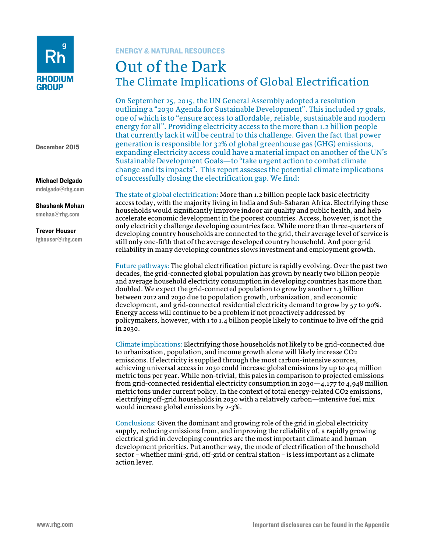

December 2015

#### Michael Delgado mdelgado@rhg.com

Shashank Mohan

smohan@rhg.com

## Trevor Houser

tghouser@rhg.com

# ENERGY & NATURAL RESOURCES

# Out of the Dark The Climate Implications of Global Electrification

On September 25, 2015, the UN General Assembly adopted a resolution outlining a "2030 Agenda for Sustainable Development". This included 17 goals, one of which is to "ensure access to affordable, reliable, sustainable and modern energy for all". Providing electricity access to the more than 1.2 billion people that currently lack it will be central to this challenge. Given the fact that power generation is responsible for 32% of global greenhouse gas (GHG) emissions, expanding electricity access could have a material impact on another of the UN's Sustainable Development Goals—to "take urgent action to combat climate change and its impacts". This report assesses the potential climate implications of successfully closing the electrification gap. We find:

The state of global electrification: More than 1.2 billion people lack basic electricity access today, with the majority living in India and Sub-Saharan Africa. Electrifying these households would significantly improve indoor air quality and public health, and help accelerate economic development in the poorest countries. Access, however, is not the only electricity challenge developing countries face. While more than three-quarters of developing country households are connected to the grid, their average level of service is still only one-fifth that of the average developed country household. And poor grid reliability in many developing countries slows investment and employment growth.

Future pathways: The global electrification picture is rapidly evolving. Over the past two decades, the grid-connected global population has grown by nearly two billion people and average household electricity consumption in developing countries has more than doubled. We expect the grid-connected population to grow by another 1.3 billion between 2012 and 2030 due to population growth, urbanization, and economic development, and grid-connected residential electricity demand to grow by 57 to 90%. Energy access will continue to be a problem if not proactively addressed by policymakers, however, with 1 to 1.4 billion people likely to continue to live off the grid in 2030.

Climate implications: Electrifying those households not likely to be grid-connected due to urbanization, population, and income growth alone will likely increase CO2 emissions. If electricity is supplied through the most carbon-intensive sources, achieving universal access in 2030 could increase global emissions by up to 404 million metric tons per year. While non-trivial, this pales in comparison to projected emissions from grid-connected residential electricity consumption in 2030—4,177 to 4,948 million metric tons under current policy. In the context of total energy-related CO2 emissions, electrifying off-grid households in 2030 with a relatively carbon—intensive fuel mix would increase global emissions by 2-3%.

Conclusions: Given the dominant and growing role of the grid in global electricity supply, reducing emissions from, and improving the reliability of, a rapidly growing electrical grid in developing countries are the most important climate and human development priorities. Put another way, the mode of electrification of the household sector – whether mini-grid, off-grid or central station – is less important as a climate action lever.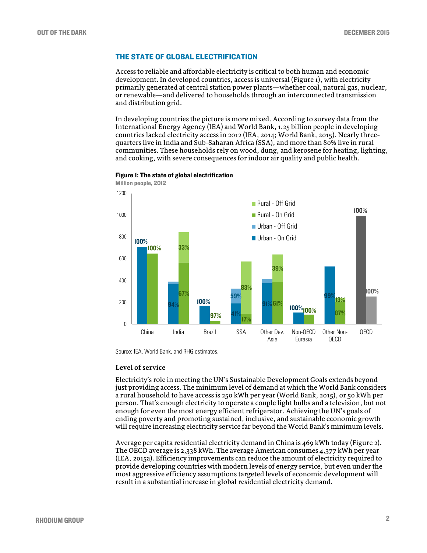## THE STATE OF GLOBAL ELECTRIFICATION

Access to reliable and affordable electricity is critical to both human and economic development. In developed countries, access is universal (Figure 1), with electricity primarily generated at central station power plants—whether coal, natural gas, nuclear, or renewable—and delivered to households through an interconnected transmission and distribution grid.

In developing countries the picture is more mixed. According to survey data from the International Energy Agency (IEA) and World Bank, 1.25 billion people in developing countries lacked electricity access in 2012 (IEA, 2014; World Bank, 2015). Nearly threequarters live in India and Sub-Saharan Africa (SSA), and more than 80% live in rural communities. These households rely on wood, dung, and kerosene for heating, lighting, and cooking, with severe consequences for indoor air quality and public health.



Figure 1: The state of global electrification

Million people, 2012

Source: IEA, World Bank, and RHG estimates.

#### **Level of service**

Electricity's role in meeting the UN's Sustainable Development Goals extends beyond just providing access. The minimum level of demand at which the World Bank considers a rural household to have access is 250 kWh per year (World Bank, 2015), or 50 kWh per person. That's enough electricity to operate a couple light bulbs and a television, but not enough for even the most energy efficient refrigerator. Achieving the UN's goals of ending poverty and promoting sustained, inclusive, and sustainable economic growth will require increasing electricity service far beyond the World Bank's minimum levels.

Average per capita residential electricity demand in China is 469 kWh today (Figure 2). The OECD average is 2,338 kWh. The average American consumes 4,377 kWh per year (IEA, 2015a). Efficiency improvements can reduce the amount of electricity required to provide developing countries with modern levels of energy service, but even under the most aggressive efficiency assumptions targeted levels of economic development will result in a substantial increase in global residential electricity demand.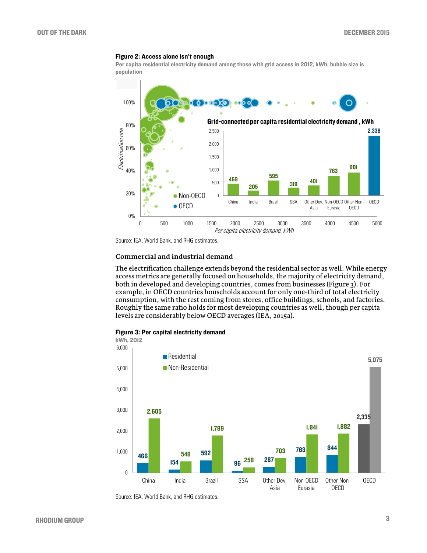#### Figure 2: Access alone isn't enough

Per capita residential electricity demand among those with grid access in 2012, kWh; bubble size is population



Source: IEA, World Bank, and RHG estimates.

#### **Commercial and industrial demand**

The electrification challenge extends beyond the residential sector as well. While energy access metrics are generally focused on households, the majority of electricity demand, both in developed and developing countries, comes from businesses (Figure 3). For example, in OECD countries households account for only one-third of total electricity consumption, with the rest coming from stores, office buildings, schools, and factories. Roughly the same ratio holds for most developing countries as well, though per capita levels are considerably below OECD averages (IEA, 2015a).



#### Figure 3: Per capital electricity demand

Source: IEA, World Bank, and RHG estimates.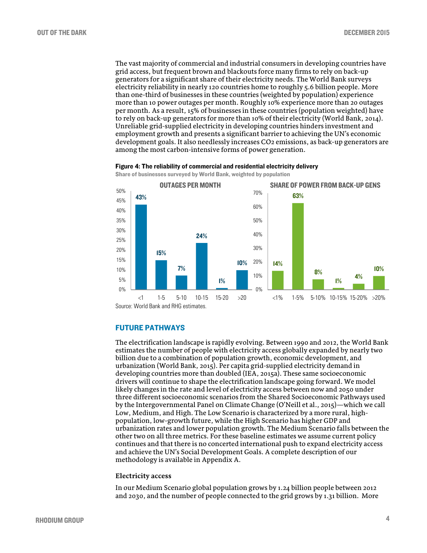The vast majority of commercial and industrial consumers in developing countries have grid access, but frequent brown and blackouts force many firms to rely on back-up generators for a significant share of their electricity needs. The World Bank surveys electricity reliability in nearly 120 countries home to roughly 5.6 billion people. More than one-third of businesses in these countries (weighted by population) experience more than 10 power outages per month. Roughly 10% experience more than 20 outages per month. As a result, 15% of businesses in these countries (population weighted) have to rely on back-up generators for more than 10% of their electricity (World Bank, 2014). Unreliable grid-supplied electricity in developing countries hinders investment and employment growth and presents a significant barrier to achieving the UN's economic development goals. It also needlessly increases CO2 emissions, as back-up generators are among the most carbon-intensive forms of power generation.

#### Figure 4: The reliability of commercial and residential electricity delivery

Share of businesses surveyed by World Bank, weighted by population



Source: World Bank and RHG estimates.

#### FUTURE PATHWAYS

The electrification landscape is rapidly evolving. Between 1990 and 2012, the World Bank estimates the number of people with electricity access globally expanded by nearly two billion due to a combination of population growth, economic development, and urbanization (World Bank, 2015). Per capita grid-supplied electricity demand in developing countries more than doubled (IEA, 2015a). These same socioeconomic drivers will continue to shape the electrification landscape going forward. We model likely changes in the rate and level of electricity access between now and 2050 under three different socioeconomic scenarios from the Shared Socioeconomic Pathways used by the Intergovernmental Panel on Climate Change (O'Neill et al., 2015)—which we call Low, Medium, and High. The Low Scenario is characterized by a more rural, highpopulation, low-growth future, while the High Scenario has higher GDP and urbanization rates and lower population growth. The Medium Scenario falls between the other two on all three metrics. For these baseline estimates we assume current policy continues and that there is no concerted international push to expand electricity access and achieve the UN's Social Development Goals. A complete description of our methodology is available in Appendix A.

#### **Electricity access**

In our Medium Scenario global population grows by 1.24 billion people between 2012 and 2030, and the number of people connected to the grid grows by 1.31 billion. More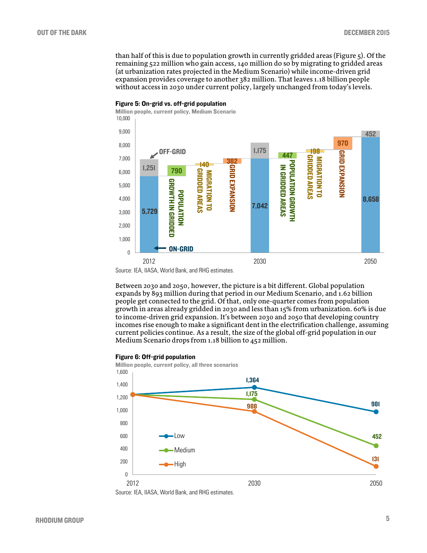than half of this is due to population growth in currently gridded areas (Figure 5). Of the remaining 522 million who gain access, 140 million do so by migrating to gridded areas (at urbanization rates projected in the Medium Scenario) while income-driven grid expansion provides coverage to another 382 million. That leaves 1.18 billion people without access in 2030 under current policy, largely unchanged from today's levels.



#### Figure 5: On-grid vs. off-grid population

Between 2030 and 2050, however, the picture is a bit different. Global population expands by 893 million during that period in our Medium Scenario, and 1.62 billion people get connected to the grid. Of that, only one-quarter comes from population growth in areas already gridded in 2030 and less than 15% from urbanization. 60% is due to income-driven grid expansion. It's between 2030 and 2050 that developing country incomes rise enough to make a significant dent in the electrification challenge, assuming current policies continue. As a result, the size of the global off-grid population in our Medium Scenario drops from 1.18 billion to 452 million.

#### Figure 6: Off-grid population





Source: IEA, IIASA, World Bank, and RHG estimates.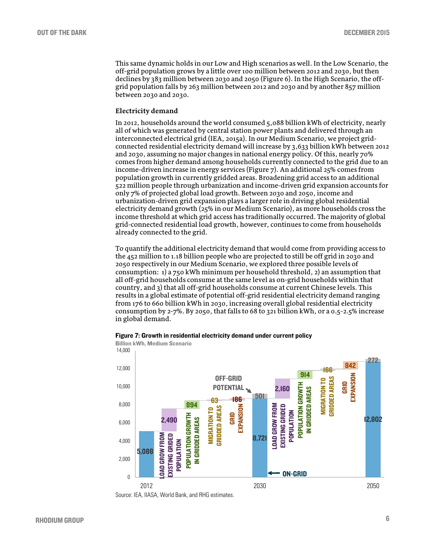This same dynamic holds in our Low and High scenarios as well. In the Low Scenario, the off-grid population grows by a little over 100 million between 2012 and 2030, but then declines by 383 million between 2030 and 2050 (Figure 6). In the High Scenario, the offgrid population falls by 263 million between 2012 and 2030 and by another 857 million between 2030 and 2030.

## **Electricity demand**

In 2012, households around the world consumed 5,088 billion kWh of electricity, nearly all of which was generated by central station power plants and delivered through an interconnected electrical grid (IEA, 2015a). In our Medium Scenario, we project gridconnected residential electricity demand will increase by 3,633 billion kWh between 2012 and 2030, assuming no major changes in national energy policy. Of this, nearly 70% comes from higher demand among households currently connected to the grid due to an income-driven increase in energy services (Figure 7). An additional 25% comes from population growth in currently gridded areas. Broadening grid access to an additional 522 million people through urbanization and income-driven grid expansion accounts for only 7% of projected global load growth. Between 2030 and 2050, income and urbanization-driven grid expansion plays a larger role in driving global residential electricity demand growth (25% in our Medium Scenario), as more households cross the income threshold at which grid access has traditionally occurred. The majority of global grid-connected residential load growth, however, continues to come from households already connected to the grid.

To quantify the additional electricity demand that would come from providing access to the 452 million to 1.18 billion people who are projected to still be off grid in 2030 and 2050 respectively in our Medium Scenario, we explored three possible levels of consumption: 1) a 750 kWh minimum per household threshold, 2) an assumption that all off-grid households consume at the same level as on-grid households within that country, and 3) that all off-grid households consume at current Chinese levels. This results in a global estimate of potential off-grid residential electricity demand ranging from 176 to 660 billion kWh in 2030, increasing overall global residential electricity consumption by 2-7%. By 2050, that falls to 68 to 321 billion kWh, or a 0.5-2.5% increase in global demand.



5,088 8,721 2,490 동영 출동 품출 - 동영호동물 - 12,802  $\frac{63}{2}$  186 2,160  $914$   $166$   $842$ <br> $914$   $8$   $32$ 501 272  $\theta$ 2,000 4,000 6,000 8,000 10,000 12,000 14,000 2,490<br>
2,490<br>
2,490<br>
2,000 GROWTH IN GROWTH GROWTH GROWTH GROWTH CONDUCTION GROWTH<br>
MIGRATION GROWTHON GROWTHON GROWTHON GROWTHON GROWTHON GROWTHON GROWTHON GROWTHON GROWTHON CONDUCTION CONDUCTION CONDUCTION CONDUCTION CON ON-GRID OFF-GRID POTENTIAL LOAD GROW FROM EXISTING GRIDED POPULATION POPULATION GROWTH IN GRIDDED AREAS GRID EXPANSION MIGRATION TO GRIDDED AREAS LOAD GROW FROM EXISTING GRIDED POPULATION

Billion kWh, Medium Scenario

Source: IEA, IIASA, World Bank, and RHG estimates.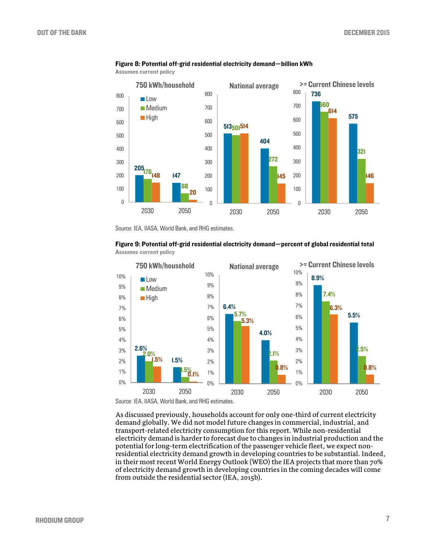

#### Figure 8: Potential off-grid residential electricity demand—billion kWh

Assumes current policy

Source: IEA, IIASA, World Bank, and RHG estimates.

#### Figure 9: Potential off-grid residential electricity demand—percent of global residential total Assumes current policy



As discussed previously, households account for only one-third of current electricity demand globally. We did not model future changes in commercial, industrial, and transport-related electricity consumption for this report. While non-residential electricity demand is harder to forecast due to changes in industrial production and the potential for long-term electrification of the passenger vehicle fleet, we expect nonresidential electricity demand growth in developing countries to be substantial. Indeed, in their most recent World Energy Outlook (WEO) the IEA projects that more than 70% of electricity demand growth in developing countries in the coming decades will come from outside the residential sector (IEA, 2015b).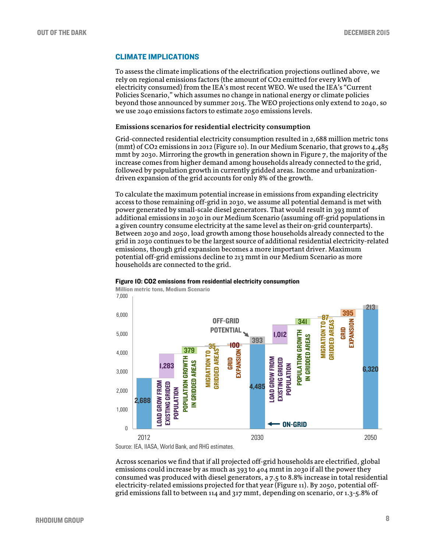## CLIMATE IMPLICATIONS

To assess the climate implications of the electrification projections outlined above, we rely on regional emissions factors (the amount of CO2 emitted for every kWh of electricity consumed) from the IEA's most recent WEO. We used the IEA's "Current Policies Scenario," which assumes no change in national energy or climate policies beyond those announced by summer 2015. The WEO projections only extend to 2040, so we use 2040 emissions factors to estimate 2050 emissions levels.

#### **Emissions scenarios for residential electricity consumption**

Grid-connected residential electricity consumption resulted in 2,688 million metric tons (mmt) of CO2 emissions in 2012 (Figure 10). In our Medium Scenario, that grows to 4,485 mmt by 2030. Mirroring the growth in generation shown in Figure 7, the majority of the increase comes from higher demand among households already connected to the grid, followed by population growth in currently gridded areas. Income and urbanizationdriven expansion of the grid accounts for only 8% of the growth.

To calculate the maximum potential increase in emissions from expanding electricity access to those remaining off-grid in 2030, we assume all potential demand is met with power generated by small-scale diesel generators. That would result in 393 mmt of additional emissions in 2030 in our Medium Scenario (assuming off-grid populations in a given country consume electricity at the same level as their on-grid counterparts). Between 2030 and 2050, load growth among those households already connected to the grid in 2030 continues to be the largest source of additional residential electricity-related emissions, though grid expansion becomes a more important driver. Maximum potential off-grid emissions decline to 213 mmt in our Medium Scenario as more households are connected to the grid.



#### Figure 10: CO2 emissions from residential electricity consumption

Source: IEA, IIASA, World Bank, and RHG estimates.

Across scenarios we find that if all projected off-grid households are electrified, global emissions could increase by as much as 393 to 404 mmt in 2030 if all the power they consumed was produced with diesel generators, a 7.5 to 8.8% increase in total residential electricity-related emissions projected for that year (Figure 11). By 2050, potential offgrid emissions fall to between 114 and 317 mmt, depending on scenario, or 1.3-5.8% of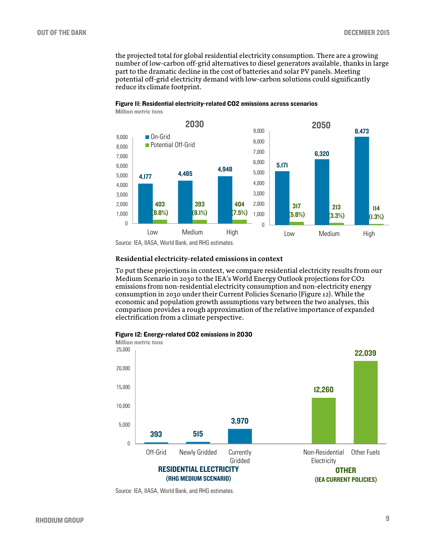the projected total for global residential electricity consumption. There are a growing number of low-carbon off-grid alternatives to diesel generators available, thanks in large part to the dramatic decline in the cost of batteries and solar PV panels. Meeting potential off-grid electricity demand with low-carbon solutions could significantly reduce its climate footprint.



#### Figure 11: Residential electricity-related CO2 emissions across scenarios Million metric tons

Source: IEA, IIASA, World Bank, and RHG estimates.

#### **Residential electricity-related emissions in context**

To put these projections in context, we compare residential electricity results from our Medium Scenario in 2030 to the IEA's World Energy Outlook projections for CO2 emissions from non-residential electricity consumption and non-electricity energy consumption in 2030 under their Current Policies Scenario (Figure 12). While the economic and population growth assumptions vary between the two analyses, this comparison provides a rough approximation of the relative importance of expanded electrification from a climate perspective.





Source: IEA, IIASA, World Bank, and RHG estimates.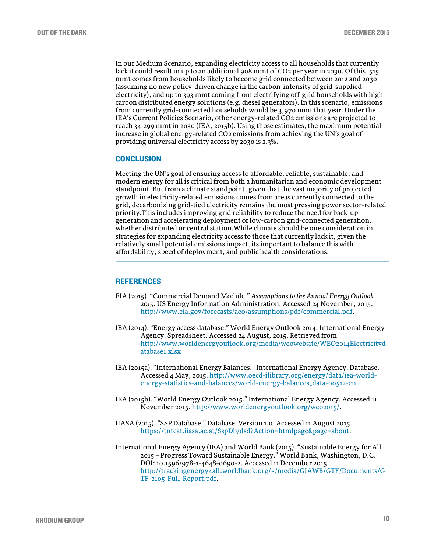In our Medium Scenario, expanding electricity access to all households that currently lack it could result in up to an additional 908 mmt of CO<sub>2</sub> per year in 2030. Of this, 515 mmt comes from households likely to become grid connected between 2012 and 2030 (assuming no new policy-driven change in the carbon-intensity of grid-supplied electricity), and up to 393 mmt coming from electrifying off-grid households with highcarbon distributed energy solutions (e.g. diesel generators). In this scenario, emissions from currently grid-connected households would be 3,970 mmt that year. Under the IEA's Current Policies Scenario, other energy-related CO2 emissions are projected to reach 34,299 mmt in 2030 (IEA, 2015b). Using those estimates, the maximum potential increase in global energy-related CO2 emissions from achieving the UN's goal of providing universal electricity access by 2030 is 2.3%.

### **CONCLUSION**

Meeting the UN's goal of ensuring access to affordable, reliable, sustainable, and modern energy for all is critical from both a humanitarian and economic development standpoint. But from a climate standpoint, given that the vast majority of projected growth in electricity-related emissions comes from areas currently connected to the grid, decarbonizing grid-tied electricity remains the most pressing power sector-related priority.This includes improving grid reliability to reduce the need for back-up generation and accelerating deployment of low-carbon grid-connected generation, whether distributed or central station.While climate should be one consideration in strategies for expanding electricity access to those that currently lack it, given the relatively small potential emissions impact, its important to balance this with affordability, speed of deployment, and public health considerations.

## **REFERENCES**

- EIA (2015). "Commercial Demand Module." *Assumptions to the Annual Energy Outlook 2015*. US Energy Information Administration. Accessed 24 November, 2015. [http://www.eia.gov/forecasts/aeo/assumptions/pdf/commercial.pdf.](http://www.eia.gov/forecasts/aeo/assumptions/pdf/commercial.pdf)
- IEA (2014). "Energy access database." World Energy Outlook 2014. International Energy Agency. Spreadsheet. Accessed 24 August, 2015. Retrieved from [http://www.worldenergyoutlook.org/media/weowebsite/WEO2014Electricityd](http://www.worldenergyoutlook.org/media/weowebsite/WEO2014Electricitydatabase1.xlsx) [atabase1.xlsx](http://www.worldenergyoutlook.org/media/weowebsite/WEO2014Electricitydatabase1.xlsx)
- IEA (2015a). "International Energy Balances." International Energy Agency. Database. Accessed 4 May, 2015[. http://www.oecd-ilibrary.org/energy/data/iea-world](http://www.oecd-ilibrary.org/energy/data/iea-world-energy-statistics-and-balances/world-energy-balances_data-00512-en)[energy-statistics-and-balances/world-energy-balances\\_data-00512-en.](http://www.oecd-ilibrary.org/energy/data/iea-world-energy-statistics-and-balances/world-energy-balances_data-00512-en)
- IEA (2015b). "World Energy Outlook 2015." International Energy Agency. Accessed 11 November 2015[. http://www.worldenergyoutlook.org/weo2015/.](http://www.worldenergyoutlook.org/weo2015/)
- IIASA (2015). "SSP Database." Database. Version 1.0. Accessed 11 August 2015. [https://tntcat.iiasa.ac.at/SspDb/dsd?Action=htmlpage&page=about.](https://tntcat.iiasa.ac.at/SspDb/dsd?Action=htmlpage&page=about)
- International Energy Agency (IEA) and World Bank (2015). "Sustainable Energy for All 2015 – Progress Toward Sustainable Energy." World Bank, Washington, D.C. DOI: 10.1596/978-1-4648-0690-2. Accessed 11 December 2015. [http://trackingenergy4all.worldbank.org/~/media/GIAWB/GTF/Documents/G](http://trackingenergy4all.worldbank.org/%7E/media/GIAWB/GTF/Documents/GTF-2105-Full-Report.pdf) [TF-2105-Full-Report.pdf.](http://trackingenergy4all.worldbank.org/%7E/media/GIAWB/GTF/Documents/GTF-2105-Full-Report.pdf)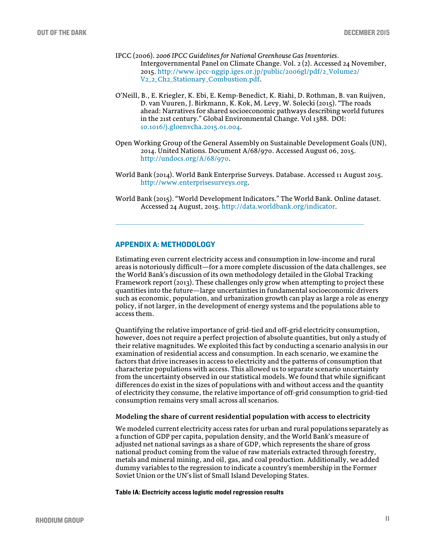- IPCC (2006). *2006 IPCC Guidelines for National Greenhouse Gas Inventories*. Intergovernmental Panel on Climate Change. Vol. 2 (2). Accessed 24 November, 2015[. http://www.ipcc-nggip.iges.or.jp/public/2006gl/pdf/2\\_Volume2/](http://www.ipcc-nggip.iges.or.jp/public/2006gl/pdf/2_Volume2/%20V2_2_Ch2_Stationary_Combustion.pdf)  [V2\\_2\\_Ch2\\_Stationary\\_Combustion.pdf.](http://www.ipcc-nggip.iges.or.jp/public/2006gl/pdf/2_Volume2/%20V2_2_Ch2_Stationary_Combustion.pdf)
- O'Neill, B., E. Kriegler, K. Ebi, E. Kemp-Benedict, K. Riahi, D. Rothman, B. van Ruijven, D. van Vuuren, J. Birkmann, K. Kok, M. Levy, W. Solecki (2015). "The roads ahead: Narratives for shared socioeconomic pathways describing world futures in the 21st century." Global Environmental Change. Vol 1388. DOI: [10.1016/j.gloenvcha.2015.01.004.](http://dx.doi.org/10.1016/j.gloenvcha.2015.01.004)
- Open Working Group of the General Assembly on Sustainable Development Goals (UN), 2014. United Nations. Document A/68/970. Accessed August 06, 2015. [http://undocs.org/A/68/970.](http://undocs.org/A/68/970)
- World Bank (2014). World Bank Enterprise Surveys. Database. Accessed 11 August 2015. [http://www.enterprisesurveys.org.](http://www.enterprisesurveys.org/)
- World Bank (2015). "World Development Indicators." The World Bank. Online dataset. Accessed 24 August, 2015. [http://data.worldbank.org/indicator.](http://data.worldbank.org/indicator)

#### APPENDIX A: METHODOLOGY

Estimating even current electricity access and consumption in low-income and rural areas is notoriously difficult—for a more complete discussion of the data challenges, see the World Bank's discussion of its own methodology detailed in the Global Tracking Framework report (2013). These challenges only grow when attempting to project these quantities into the future—large uncertainties in fundamental socioeconomic drivers such as economic, population, and urbanization growth can play as large a role as energy policy, if not larger, in the development of energy systems and the populations able to access them.

Quantifying the relative importance of grid-tied and off-grid electricity consumption, however, does not require a perfect projection of absolute quantities, but only a study of their relative magnitudes. We exploited this fact by conducting a scenario analysis in our examination of residential access and consumption. In each scenario, we examine the factors that drive increases in access to electricity and the patterns of consumption that characterize populations with access. This allowed us to separate scenario uncertainty from the uncertainty observed in our statistical models. We found that while significant differences do exist in the sizes of populations with and without access and the quantity of electricity they consume, the relative importance of off-grid consumption to grid-tied consumption remains very small across all scenarios.

#### **Modeling the share of current residential population with access to electricity**

We modeled current electricity access rates for urban and rural populations separately as a function of GDP per capita, population density, and the World Bank's measure of adjusted net national savings as a share of GDP, which represents the share of gross national product coming from the value of raw materials extracted through forestry, metals and mineral mining, and oil, gas, and coal production. Additionally, we added dummy variables to the regression to indicate a country's membership in the Former Soviet Union or the UN's list of Small Island Developing States.

Table 1A: Electricity access logistic model regression results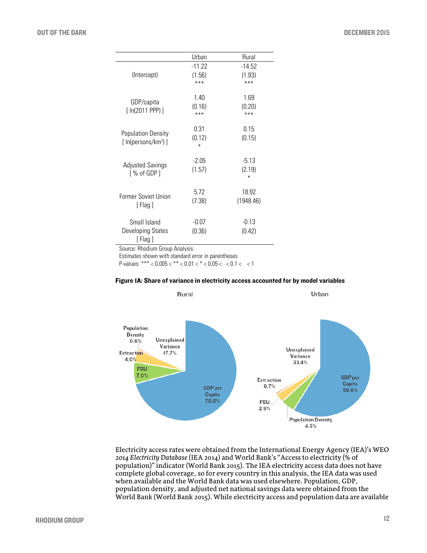|                                | Urban         | Rural         |
|--------------------------------|---------------|---------------|
|                                | $-11.22$      | $-14.52$      |
| (Intercept)                    | (1.56)        | (1.93)        |
|                                | $***$         | ***           |
|                                | 1.40          | 1.69          |
| GDP/capita                     |               |               |
| [ ln(2011 PPP)]                | (0.16)<br>*** | (0.20)<br>*** |
|                                |               |               |
|                                | 0.31          | 0.15          |
| <b>Population Density</b>      | (0.12)        | (0.15)        |
| [ln(persons/km <sup>2</sup> )] | ⋇             |               |
|                                |               |               |
| <b>Adjusted Savings</b>        | $-2.05$       | $-5.13$       |
| [ % of GDP ]                   | (1.57)        | (2.19)        |
|                                |               | ∗             |
|                                | 5.72          | 18.92         |
| <b>Former Soviet Union</b>     | (7.38)        | (1948.46)     |
| [Flag]                         |               |               |
|                                |               |               |
| Small Island                   | $-0.07$       | $-0.13$       |
| Developing States              | (0.36)        | (0.42)        |
| [Flag]                         |               |               |

Source: Rhodium Group Analysis.

Estimates shown with standard error in parentheses

P-values: \*\*\* <  $0.005 <$  \*\* <  $0.01 <$  \* <  $0.05 <$  · <  $0.1 <$  < 1





Electricity access rates were obtained from the International Energy Agency (IEA)'s WEO *2014 Electricity Database* (IEA 2014) and World Bank's "Access to electricity (% of population)" indicator (World Bank 2015). The IEA electricity access data does not have complete global coverage, so for every country in this analysis, the IEA data was used when available and the World Bank data was used elsewhere. Population, GDP, population density, and adjusted net national savings data were obtained from the World Bank (World Bank 2015). While electricity access and population data are available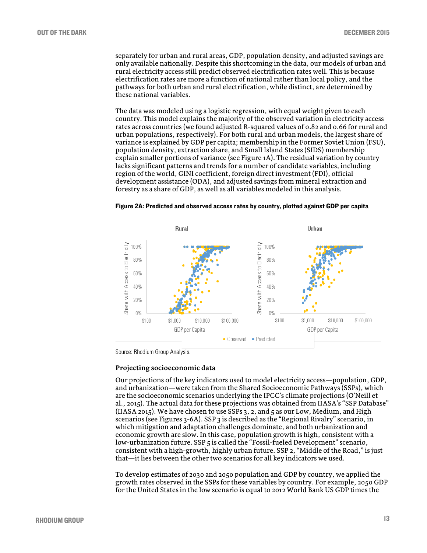separately for urban and rural areas, GDP, population density, and adjusted savings are only available nationally. Despite this shortcoming in the data, our models of urban and rural electricity access still predict observed electrification rates well. This is because electrification rates are more a function of national rather than local policy, and the pathways for both urban and rural electrification, while distinct, are determined by these national variables.

The data was modeled using a logistic regression, with equal weight given to each country. This model explains the majority of the observed variation in electricity access rates across countries (we found adjusted R-squared values of 0.82 and 0.66 for rural and urban populations, respectively). For both rural and urban models, the largest share of variance is explained by GDP per capita; membership in the Former Soviet Union (FSU), population density, extraction share, and Small Island States (SIDS) membership explain smaller portions of variance (see Figure 1A). The residual variation by country lacks significant patterns and trends for a number of candidate variables, including region of the world, GINI coefficient, foreign direct investment (FDI), official development assistance (ODA), and adjusted savings from mineral extraction and forestry as a share of GDP, as well as all variables modeled in this analysis.





Source: Rhodium Group Analysis.

#### **Projecting socioeconomic data**

Our projections of the key indicators used to model electricity access—population, GDP, and urbanization—were taken from the Shared Socioeconomic Pathways (SSPs), which are the socioeconomic scenarios underlying the IPCC's climate projections (O'Neill et al., 2015). The actual data for these projections was obtained from IIASA's "SSP Database" (IIASA 2015). We have chosen to use SSPs  $3, 2$ , and  $5$  as our Low, Medium, and High scenarios (see Figures 3-6A). SSP 3 is described as the "Regional Rivalry" scenario, in which mitigation and adaptation challenges dominate, and both urbanization and economic growth are slow. In this case, population growth is high, consistent with a low-urbanization future. SSP 5 is called the "Fossil-fueled Development" scenario, consistent with a high-growth, highly urban future. SSP 2, "Middle of the Road," is just that—it lies between the other two scenarios for all key indicators we used.

To develop estimates of 2030 and 2050 population and GDP by country, we applied the growth rates observed in the SSPs for these variables by country. For example, 2050 GDP for the United States in the low scenario is equal to 2012 World Bank US GDP times the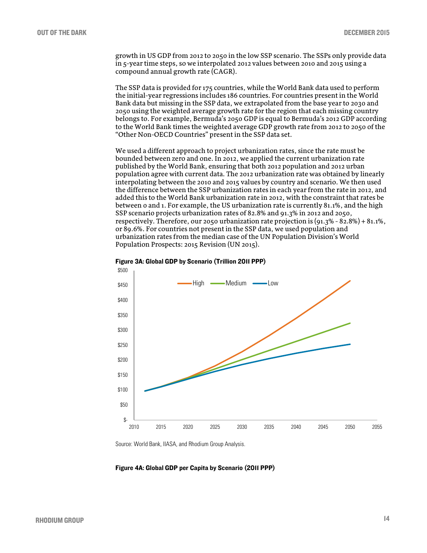growth in US GDP from 2012 to 2050 in the low SSP scenario. The SSPs only provide data in 5-year time steps, so we interpolated 2012 values between 2010 and 2015 using a compound annual growth rate (CAGR).

The SSP data is provided for 175 countries, while the World Bank data used to perform the initial-year regressions includes 186 countries. For countries present in the World Bank data but missing in the SSP data, we extrapolated from the base year to 2030 and 2050 using the weighted average growth rate for the region that each missing country belongs to. For example, Bermuda's 2050 GDP is equal to Bermuda's 2012 GDP according to the World Bank times the weighted average GDP growth rate from 2012 to 2050 of the "Other Non-OECD Countries" present in the SSP data set.

We used a different approach to project urbanization rates, since the rate must be bounded between zero and one. In 2012, we applied the current urbanization rate published by the World Bank, ensuring that both 2012 population and 2012 urban population agree with current data. The 2012 urbanization rate was obtained by linearly interpolating between the 2010 and 2015 values by country and scenario. We then used the difference between the SSP urbanization rates in each year from the rate in 2012, and added this to the World Bank urbanization rate in 2012, with the constraint that rates be between 0 and 1. For example, the US urbanization rate is currently 81.1%, and the high SSP scenario projects urbanization rates of 82.8% and 91.3% in 2012 and 2050, respectively. Therefore, our 2050 urbanization rate projection is  $(91.3\% - 82.8\%) + 81.1\%$ , or 89.6%. For countries not present in the SSP data, we used population and urbanization rates from the median case of the UN Population Division's World Population Prospects: 2015 Revision (UN 2015).





Source: World Bank, IIASA, and Rhodium Group Analysis.

Figure 4A: Global GDP per Capita by Scenario (2011 PPP)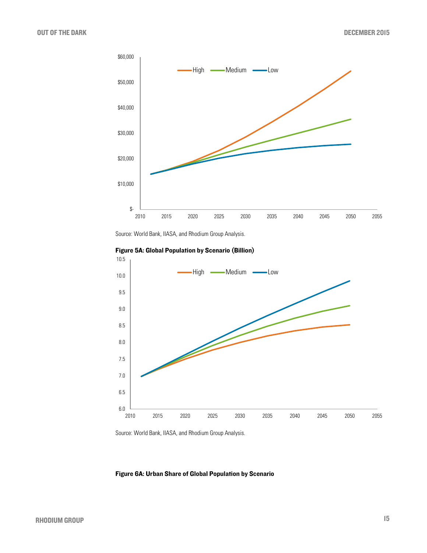

Source: World Bank, IIASA, and Rhodium Group Analysis.



Figure 5A: Global Population by Scenario (Billion)

Source: World Bank, IIASA, and Rhodium Group Analysis.

## Figure 6A: Urban Share of Global Population by Scenario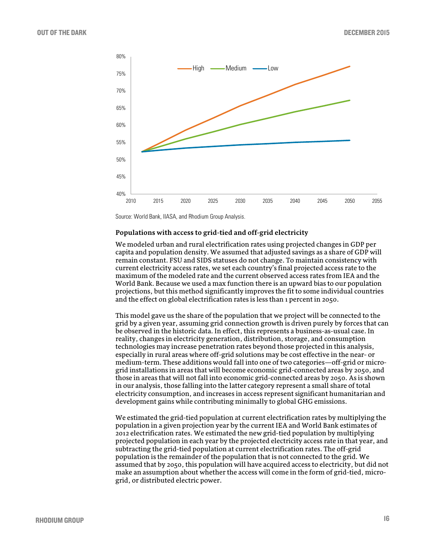

Source: World Bank, IIASA, and Rhodium Group Analysis.

#### **Populations with access to grid-tied and off-grid electricity**

We modeled urban and rural electrification rates using projected changes in GDP per capita and population density. We assumed that adjusted savings as a share of GDP will remain constant. FSU and SIDS statuses do not change. To maintain consistency with current electricity access rates, we set each country's final projected access rate to the maximum of the modeled rate and the current observed access rates from IEA and the World Bank. Because we used a max function there is an upward bias to our population projections, but this method significantly improves the fit to some individual countries and the effect on global electrification rates is less than 1 percent in 2050.

This model gave us the share of the population that we project will be connected to the grid by a given year, assuming grid connection growth is driven purely by forces that can be observed in the historic data. In effect, this represents a business-as-usual case. In reality, changes in electricity generation, distribution, storage, and consumption technologies may increase penetration rates beyond those projected in this analysis, especially in rural areas where off-grid solutions may be cost effective in the near- or medium-term. These additions would fall into one of two categories—off-grid or microgrid installations in areas that will become economic grid-connected areas by 2050, and those in areas that will not fall into economic grid-connected areas by 2050. As is shown in our analysis, those falling into the latter category represent a small share of total electricity consumption, and increases in access represent significant humanitarian and development gains while contributing minimally to global GHG emissions.

We estimated the grid-tied population at current electrification rates by multiplying the population in a given projection year by the current IEA and World Bank estimates of 2012 electrification rates. We estimated the new grid-tied population by multiplying projected population in each year by the projected electricity access rate in that year, and subtracting the grid-tied population at current electrification rates. The off-grid population is the remainder of the population that is not connected to the grid. We assumed that by 2050, this population will have acquired access to electricity, but did not make an assumption about whether the access will come in the form of grid-tied, microgrid, or distributed electric power.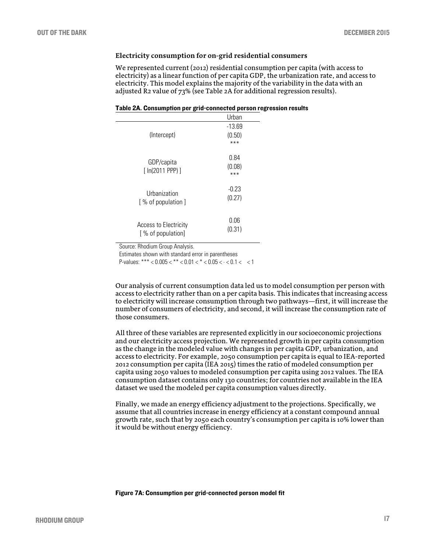## **Electricity consumption for on-grid residential consumers**

We represented current (2012) residential consumption per capita (with access to electricity) as a linear function of per capita GDP, the urbanization rate, and access to electricity. This model explains the majority of the variability in the data with an adjusted R2 value of 73% (see Table 2A for additional regression results).

| Table 2A. Consumption per grid-connected person regression results |  |
|--------------------------------------------------------------------|--|
|--------------------------------------------------------------------|--|

|                                            | Urban                       |
|--------------------------------------------|-----------------------------|
| (Intercept)                                | $-13.69$<br>(0.50)<br>$***$ |
| GDP/capita<br>[ ln(2011 PPP)]              | 0.84<br>(0.08)<br>***       |
| Urbanization<br>[ % of population ]        | $-0.23$<br>(0.27)           |
| Access to Electricity<br>[% of population] | 0.06<br>(0.31)              |

Source: Rhodium Group Analysis.

Estimates shown with standard error in parentheses

P-values: \*\*\* <  $0.005 <$  \*\* <  $0.01 <$  \* <  $0.05 <$  · <  $0.1 <$  < 1

Our analysis of current consumption data led us to model consumption per person with access to electricity rather than on a per capita basis. This indicates that increasing access to electricity will increase consumption through two pathways—first, it will increase the number of consumers of electricity, and second, it will increase the consumption rate of those consumers.

All three of these variables are represented explicitly in our socioeconomic projections and our electricity access projection. We represented growth in per capita consumption as the change in the modeled value with changes in per capita GDP, urbanization, and access to electricity. For example, 2050 consumption per capita is equal to IEA-reported 2012 consumption per capita (IEA 2015) times the ratio of modeled consumption per capita using 2050 values to modeled consumption per capita using 2012 values. The IEA consumption dataset contains only 130 countries; for countries not available in the IEA dataset we used the modeled per capita consumption values directly.

Finally, we made an energy efficiency adjustment to the projections. Specifically, we assume that all countries increase in energy efficiency at a constant compound annual growth rate, such that by 2050 each country's consumption per capita is 10% lower than it would be without energy efficiency.

Figure 7A: Consumption per grid-connected person model fit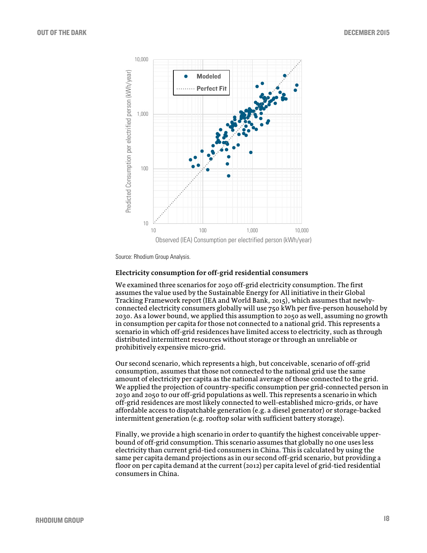

Source: Rhodium Group Analysis.

#### **Electricity consumption for off-grid residential consumers**

We examined three scenarios for 2050 off-grid electricity consumption. The first assumes the value used by the Sustainable Energy for All initiative in their Global Tracking Framework report (IEA and World Bank, 2015), which assumes that newlyconnected electricity consumers globally will use 750 kWh per five-person household by 2030. As a lower bound, we applied this assumption to 2050 as well, assuming no growth in consumption per capita for those not connected to a national grid. This represents a scenario in which off-grid residences have limited access to electricity, such as through distributed intermittent resources without storage or through an unreliable or prohibitively expensive micro-grid.

Our second scenario, which represents a high, but conceivable, scenario of off-grid consumption, assumes that those not connected to the national grid use the same amount of electricity per capita as the national average of those connected to the grid. We applied the projection of country-specific consumption per grid-connected person in 2030 and 2050 to our off-grid populations as well. This represents a scenario in which off-grid residences are most likely connected to well-established micro-grids, or have affordable access to dispatchable generation (e.g. a diesel generator) or storage-backed intermittent generation (e.g. rooftop solar with sufficient battery storage).

Finally, we provide a high scenario in order to quantify the highest conceivable upperbound of off-grid consumption. This scenario assumes that globally no one uses less electricity than current grid-tied consumers in China. This is calculated by using the same per capita demand projections as in our second off-grid scenario, but providing a floor on per capita demand at the current (2012) per capita level of grid-tied residential consumers in China.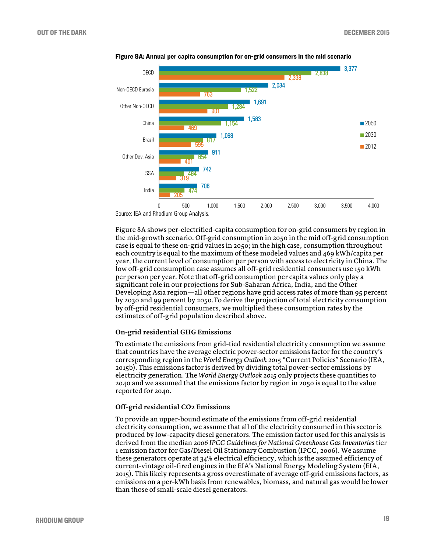

Figure 8A: Annual per capita consumption for on-grid consumers in the mid scenario

Figure 8A shows per-electrified-capita consumption for on-grid consumers by region in the mid-growth scenario. Off-grid consumption in 2050 in the mid off-grid consumption case is equal to these on-grid values in 2050; in the high case, consumption throughout each country is equal to the maximum of these modeled values and 469 kWh/capita per year, the current level of consumption per person with access to electricity in China. The low off-grid consumption case assumes all off-grid residential consumers use 150 kWh per person per year. Note that off-grid consumption per capita values only play a significant role in our projections for Sub-Saharan Africa, India, and the Other Developing Asia region—all other regions have grid access rates of more than 95 percent by 2030 and 99 percent by 2050.To derive the projection of total electricity consumption by off-grid residential consumers, we multiplied these consumption rates by the estimates of off-grid population described above.

#### **On-grid residential GHG Emissions**

To estimate the emissions from grid-tied residential electricity consumption we assume that countries have the average electric power-sector emissions factor for the country's corresponding region in the *World Energy Outlook 2015* "Current Policies" Scenario (IEA, 2015b). This emissions factor is derived by dividing total power-sector emissions by electricity generation. The *World Energy Outlook 2015* only projects these quantities to 2040 and we assumed that the emissions factor by region in 2050 is equal to the value reported for 2040.

#### **Off-grid residential CO2 Emissions**

To provide an upper-bound estimate of the emissions from off-grid residential electricity consumption, we assume that all of the electricity consumed in this sector is produced by low-capacity diesel generators. The emission factor used for this analysis is derived from the median *2006 IPCC Guidelines for National Greenhouse Gas Inventories*tier 1 emission factor for Gas/Diesel Oil Stationary Combustion (IPCC, 2006). We assume these generators operate at 34% electrical efficiency, which is the assumed efficiency of current-vintage oil-fired engines in the EIA's National Energy Modeling System (EIA, 2015). This likely represents a gross overestimate of average off-grid emissions factors, as emissions on a per-kWh basis from renewables, biomass, and natural gas would be lower than those of small-scale diesel generators.